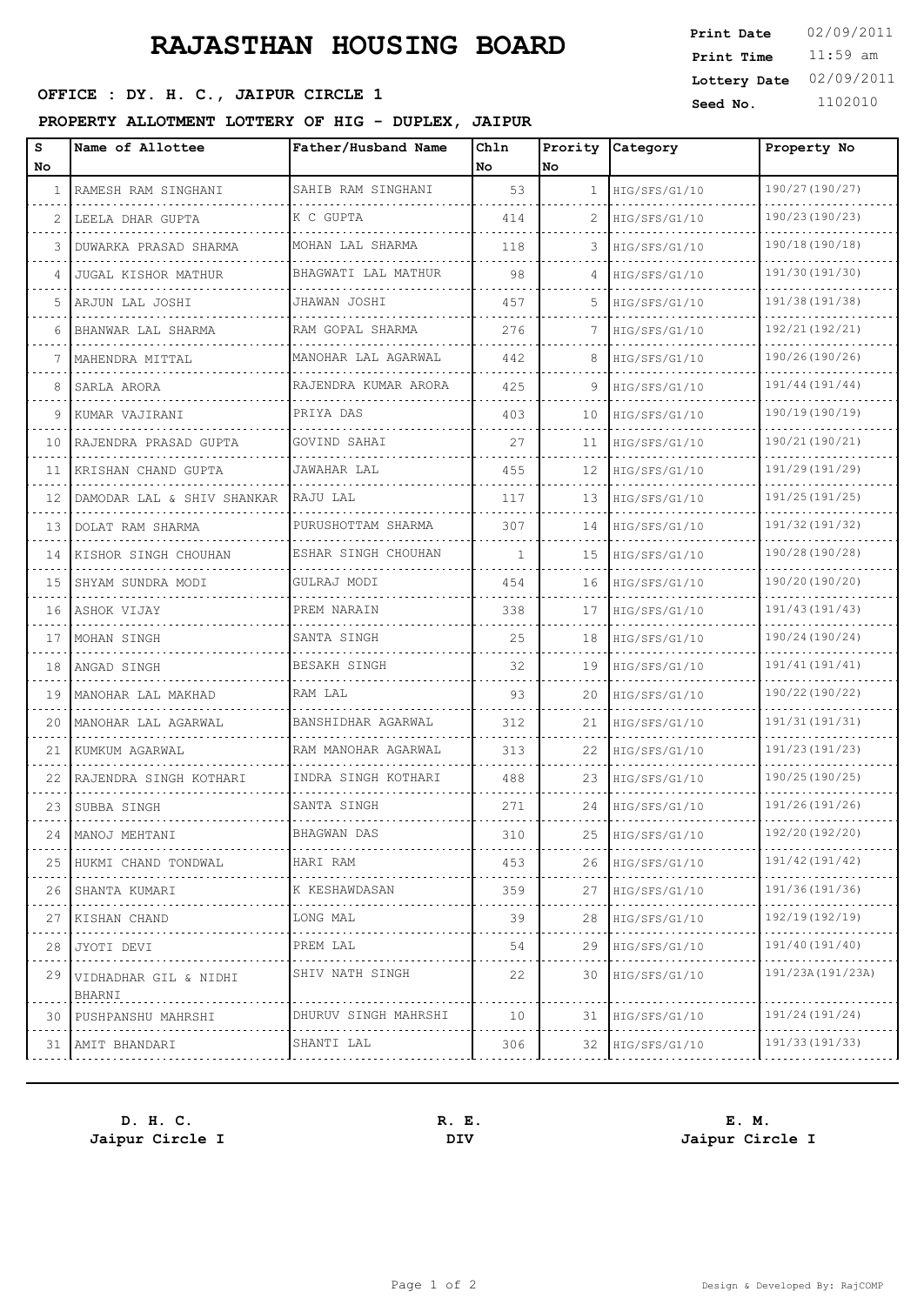# **RAJASTHAN HOUSING BOARD**

## **SEPTCE : DY. H. C., JAIPUR CIRCLE 1 Seed No.** 1102010

### **PROPERTY ALLOTMENT LOTTERY OF HIG - DUPLEX, JAIPUR**

| s   | Name of Allottee                | Father/Husband Name  | Chln         | Prority        | <b>Category</b> | Property No       |
|-----|---------------------------------|----------------------|--------------|----------------|-----------------|-------------------|
| No. |                                 |                      | No.          | No             |                 |                   |
| 1.  | RAMESH RAM SINGHANI             | SAHIB RAM SINGHANI   | 53           | $\mathbf{1}$   | HIG/SFS/G1/10   | 190/27 (190/27)   |
|     | LEELA DHAR GUPTA                | K C GUPTA            | 414          | $\overline{2}$ | HIG/SFS/G1/10   | 190/23 (190/23)   |
|     | DUWARKA PRASAD SHARMA           | MOHAN LAL SHARMA     | 118          | 3              | HIG/SFS/G1/10   | 190/18 (190/18)   |
|     | <b>JUGAL KISHOR MATHUR</b>      | BHAGWATI LAL MATHUR  | 98           | 4              | HIG/SFS/G1/10   | 191/30 (191/30)   |
| 5.  | ARJUN LAL JOSHI                 | JHAWAN JOSHI         | 457          | 5              | HIG/SFS/G1/10   | 191/38 (191/38)   |
|     | BHANWAR LAL SHARMA              | RAM GOPAL SHARMA     | 276          |                | HIG/SFS/G1/10   | 192/21(192/21)    |
|     | MAHENDRA MITTAL                 | MANOHAR LAL AGARWAL  | 442          | 8              | HIG/SFS/G1/10   | 190/26 (190/26)   |
|     | SARLA ARORA                     | RAJENDRA KUMAR ARORA | 425          | 9              | HIG/SFS/G1/10   | 191/44 (191/44)   |
| 9   | KUMAR VAJIRANI                  | PRIYA DAS            | 403          | 10             | HIG/SFS/G1/10   | 190/19(190/19)    |
| 10  | RAJENDRA PRASAD GUPTA           | GOVIND SAHAI         | 27           | 11             | HIG/SFS/G1/10   | 190/21 (190/21)   |
| 11  | KRISHAN CHAND GUPTA             | <b>JAWAHAR LAL</b>   | 455          | 12             | HIG/SFS/G1/10   | 191/29(191/29)    |
| 12  | DAMODAR LAL & SHIV SHANKAR      | RAJU LAL             | 117          | 13             | HIG/SFS/G1/10   | 191/25 (191/25)   |
| 13  | DOLAT RAM SHARMA                | PURUSHOTTAM SHARMA   | 307          | 14             | HIG/SFS/G1/10   | 191/32 (191/32)   |
| 14  | KISHOR SINGH CHOUHAN            | ESHAR SINGH CHOUHAN  | $\mathbf{1}$ | 15             | HIG/SFS/G1/10   | 190/28 (190/28)   |
| 15  | SHYAM SUNDRA MODI               | GULRAJ MODI          | 454          | 16             | HIG/SFS/G1/10   | 190/20 (190/20)   |
| 16  | ASHOK VIJAY                     | PREM NARAIN          | 338          | 17             | HIG/SFS/G1/10   | 191/43 (191/43)   |
| 17  | MOHAN SINGH                     | SANTA SINGH          | 25           | 18             | HIG/SFS/G1/10   | 190/24 (190/24)   |
| 18  | ANGAD SINGH                     | BESAKH SINGH         | 32           | 19             | HIG/SFS/G1/10   | 191/41 (191/41)   |
| 19  | MANOHAR LAL MAKHAD              | RAM LAL              | 93           | 20             | HIG/SFS/G1/10   | 190/22 (190/22)   |
| 20  | MANOHAR LAL AGARWAL             | BANSHIDHAR AGARWAL   | 312          | 21             | HIG/SFS/G1/10   | 191/31 (191/31)   |
| 21  | KUMKUM AGARWAL                  | RAM MANOHAR AGARWAL  | 313          | 22             | HIG/SFS/G1/10   | 191/23 (191/23)   |
| 22  | RAJENDRA SINGH KOTHARI          | INDRA SINGH KOTHARI  | 488          | 23             | HIG/SFS/G1/10   | 190/25 (190/25)   |
| 23  | SUBBA SINGH                     | SANTA SINGH          | 271          | 24             | HIG/SFS/G1/10   | 191/26(191/26)    |
| 24  | MANOJ MEHTANI                   | BHAGWAN DAS          | 310          | 25             | HIG/SFS/G1/10   | 192/20 (192/20)   |
| 25  | HUKMI CHAND TONDWAL             | HARI RAM             | 453          | 26             | HIG/SFS/G1/10   | 191/42 (191/42)   |
| 26  | SHANTA KUMARI                   | K KESHAWDASAN        | 359          | 27             | HIG/SFS/G1/10   | 191/36 (191/36)   |
| 27  | KISHAN CHAND                    | LONG MAL             | 39           | 28             | HIG/SFS/G1/10   | 192/19(192/19)    |
| 28  | JYOTI DEVI                      | PREM LAL             | 54           | 29             | HIG/SFS/G1/10   | 191/40 (191/40)   |
| 29  | VIDHADHAR GIL & NIDHI<br>BHARNI | SHIV NATH SINGH      | 22           | 30             | HIG/SFS/G1/10   | 191/23A (191/23A) |
| 30  | PUSHPANSHU MAHRSHI              | DHURUV SINGH MAHRSHI | 10           | 31             | HIG/SFS/G1/10   | 191/24(191/24)    |
| 31  | AMIT BHANDARI                   | SHANTI LAL           | 306          | 32             | HIG/SFS/G1/10   | 191/33 (191/33)   |

**Jaipur Circle I DIV Jaipur Circle I**

**D. H. C. R. E. E. M.**